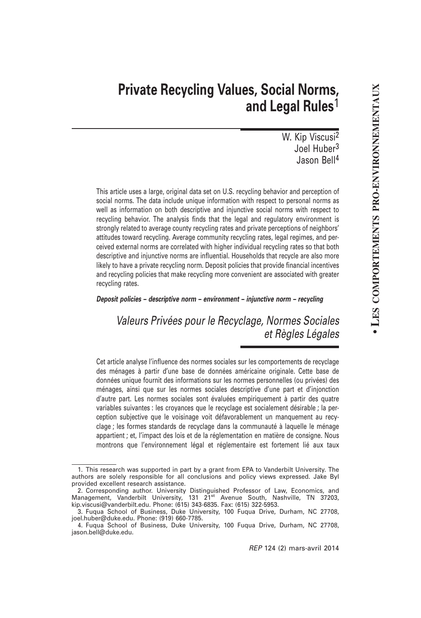# **Private Recycling Values, Social Norms, and Legal Rules**<sup>1</sup>

W. Kip Viscusi2 Joel Huber<sup>3</sup> Jason Bell4

This article uses a large, original data set on U.S. recycling behavior and perception of social norms. The data include unique information with respect to personal norms as well as information on both descriptive and injunctive social norms with respect to recycling behavior. The analysis finds that the legal and regulatory environment is strongly related to average county recycling rates and private perceptions of neighbors' attitudes toward recycling. Average community recycling rates, legal regimes, and perceived external norms are correlated with higher individual recycling rates so that both descriptive and injunctive norms are influential. Households that recycle are also more likely to have a private recycling norm. Deposit policies that provide financial incentives and recycling policies that make recycling more convenient are associated with greater recycling rates.

#### *Deposit policies – descriptive norm – environment – injunctive norm – recycling*

*Valeurs Privées pour le Recyclage, Normes Sociales et Règles Légales*

Cet article analyse l'influence des normes sociales sur les comportements de recyclage des ménages à partir d'une base de données américaine originale. Cette base de données unique fournit des informations sur les normes personnelles (ou privées) des ménages, ainsi que sur les normes sociales descriptive d'une part et d'injonction d'autre part. Les normes sociales sont évaluées empiriquement à partir des quatre variables suivantes : les croyances que le recyclage est socialement désirable ; la perception subjective que le voisinage voit défavorablement un manquement au recyclage ; les formes standards de recyclage dans la communauté à laquelle le ménage appartient ; et, l'impact des lois et de la réglementation en matière de consigne. Nous montrons que l'environnement légal et réglementaire est fortement lié aux taux

<sup>1.</sup> This research was supported in part by a grant from EPA to Vanderbilt University. The authors are solely responsible for all conclusions and policy views expressed. Jake Byl provided excellent research assistance.

<sup>2.</sup> Corresponding author. University Distinguished Professor of Law, Economics, and Management, Vanderbilt University, 131 21st Avenue South, Nashville, TN 37203, kip.viscusi@vanderbilt.edu. Phone: (615) 343-6835. Fax: (615) 322-5953.

<sup>3.</sup> Fuqua School of Business, Duke University, 100 Fuqua Drive, Durham, NC 27708, joel.huber@duke.edu. Phone: (919) 660-7785.

<sup>4.</sup> Fuqua School of Business, Duke University, 100 Fuqua Drive, Durham, NC 27708, jason.bell@duke.edu.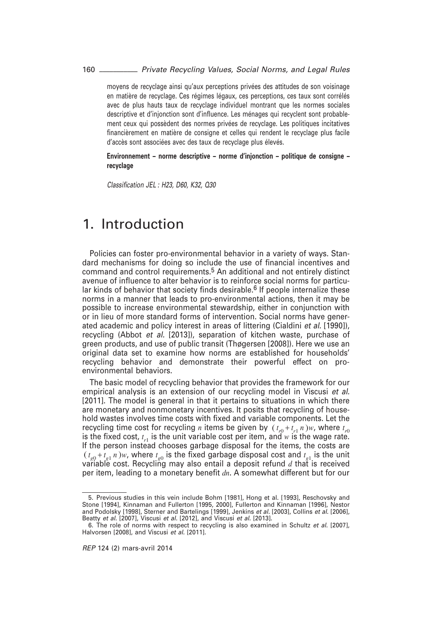moyens de recyclage ainsi qu'aux perceptions privées des attitudes de son voisinage en matière de recyclage. Ces régimes légaux, ces perceptions, ces taux sont corrélés avec de plus hauts taux de recyclage individuel montrant que les normes sociales descriptive et d'injonction sont d'influence. Les ménages qui recyclent sont probablement ceux qui possèdent des normes privées de recyclage. Les politiques incitatives financièrement en matière de consigne et celles qui rendent le recyclage plus facile d'accès sont associées avec des taux de recyclage plus élevés.

#### **Environnement – norme descriptive – norme d'injonction – politique de consigne – recyclage**

*Classification JEL : H23, D60, K32, Q30*

### 1. Introduction

Policies can foster pro-environmental behavior in a variety of ways. Standard mechanisms for doing so include the use of financial incentives and command and control requirements.<sup>5</sup> An additional and not entirely distinct avenue of influence to alter behavior is to reinforce social norms for particular kinds of behavior that society finds desirable.<sup>6</sup> If people internalize these norms in a manner that leads to pro-environmental actions, then it may be possible to increase environmental stewardship, either in conjunction with or in lieu of more standard forms of intervention. Social norms have generated academic and policy interest in areas of littering (Cialdini *et al.* [1990]), recycling (Abbot *et al.* [2013]), separation of kitchen waste, purchase of green products, and use of public transit (Thøgersen [2008]). Here we use an original data set to examine how norms are established for households' recycling behavior and demonstrate their powerful effect on proenvironmental behaviors.

The basic model of recycling behavior that provides the framework for our empirical analysis is an extension of our recycling model in Viscusi *et al.* [2011]. The model is general in that it pertains to situations in which there are monetary and nonmonetary incentives. It posits that recycling of household wastes involves time costs with fixed and variable components. Let the recycling time cost for recycling *n* items be given by  $(t_{r0} + t_{r1} n)w$ , where *t* is the fixed cost,  $t_{r1}$  is the unit variable cost per item, and *w* is the wage rate. If the person instead chooses garbage disposal for the items, the costs are  $(t_{g0} + t_{g1} n)$ *w*, where  $t_{g0}$  is the fixed garbage disposal cost and  $t_{g1}$  is the unit variable cost. Recycling may also entail a deposit refund *d* that is received per item, leading to a monetary benefit *dn*. A somewhat different but for our

<sup>5.</sup> Previous studies in this vein include Bohm [1981], Hong et al. [1993], Reschovsky and Stone [1994], Kinnaman and Fullerton [1995, 2000], Fullerton and Kinnaman [1996], Nestor and Podolsky [1998], Sterner and Bartelings [1999], Jenkins *et al.* [2003], Collins *et al.* [2006], Beatty *et al.* [2007], Viscusi *et al.* [2012], and Viscusi *et al.* [2013].

<sup>6.</sup> The role of norms with respect to recycling is also examined in Schultz *et al.* [2007], Halvorsen [2008], and Viscusi *et al.* [2011].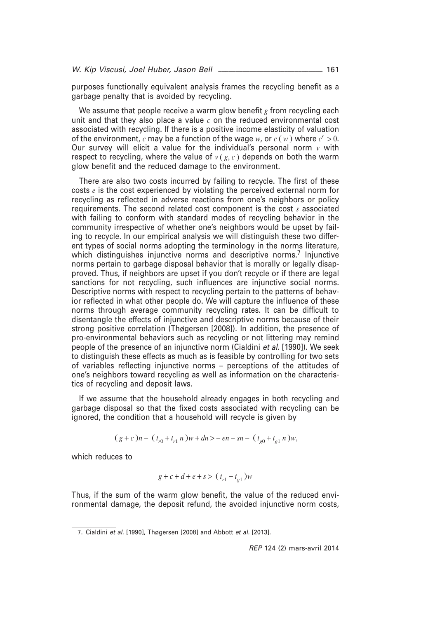purposes functionally equivalent analysis frames the recycling benefit as a garbage penalty that is avoided by recycling.

We assume that people receive a warm glow benefit *g* from recycling each unit and that they also place a value *c* on the reduced environmental cost associated with recycling. If there is a positive income elasticity of valuation of the environment,  $c$  may be a function of the wage  $w$ , or  $c(w)$  where  $c' > 0$ . Our survey will elicit a value for the individual's personal norm *v* with respect to recycling, where the value of  $v(g, c)$  depends on both the warm glow benefit and the reduced damage to the environment.

There are also two costs incurred by failing to recycle. The first of these costs *e* is the cost experienced by violating the perceived external norm for recycling as reflected in adverse reactions from one's neighbors or policy requirements. The second related cost component is the cost *s* associated with failing to conform with standard modes of recycling behavior in the community irrespective of whether one's neighbors would be upset by failing to recycle. In our empirical analysis we will distinguish these two different types of social norms adopting the terminology in the norms literature, which distinguishes injunctive norms and descriptive norms.<sup>7</sup> Injunctive norms pertain to garbage disposal behavior that is morally or legally disapproved. Thus, if neighbors are upset if you don't recycle or if there are legal sanctions for not recycling, such influences are injunctive social norms. Descriptive norms with respect to recycling pertain to the patterns of behavior reflected in what other people do. We will capture the influence of these norms through average community recycling rates. It can be difficult to disentangle the effects of injunctive and descriptive norms because of their strong positive correlation (Thøgersen [2008]). In addition, the presence of pro-environmental behaviors such as recycling or not littering may remind people of the presence of an injunctive norm (Cialdini *et al.* [1990]). We seek to distinguish these effects as much as is feasible by controlling for two sets of variables reflecting injunctive norms – perceptions of the attitudes of one's neighbors toward recycling as well as information on the characteristics of recycling and deposit laws.

If we assume that the household already engages in both recycling and garbage disposal so that the fixed costs associated with recycling can be ignored, the condition that a household will recycle is given by

$$
(g+c)n - (t_{r0} + t_{r1} n)w + dn > -en - sn - (t_{g0} + t_{g1} n)w,
$$

which reduces to

$$
g + c + d + e + s > (t_{r1} - t_{g1})w
$$

Thus, if the sum of the warm glow benefit, the value of the reduced environmental damage, the deposit refund, the avoided injunctive norm costs,

<sup>7.</sup> Cialdini *et al.* [1990], Thøgersen [2008] and Abbott *et al.* [2013].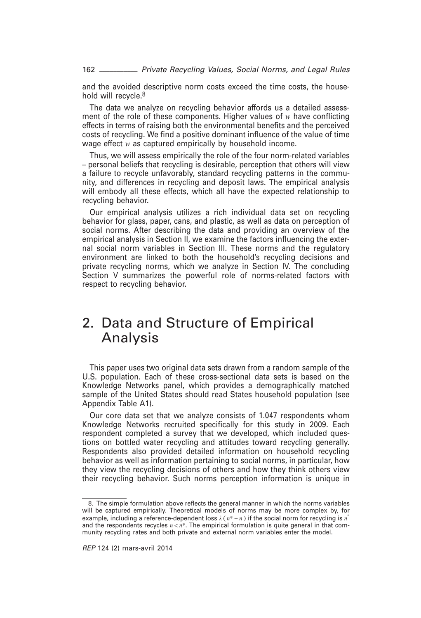and the avoided descriptive norm costs exceed the time costs, the household will recycle.<sup>8</sup>

The data we analyze on recycling behavior affords us a detailed assessment of the role of these components. Higher values of *w* have conflicting effects in terms of raising both the environmental benefits and the perceived costs of recycling. We find a positive dominant influence of the value of time wage effect *w* as captured empirically by household income.

Thus, we will assess empirically the role of the four norm-related variables – personal beliefs that recycling is desirable, perception that others will view a failure to recycle unfavorably, standard recycling patterns in the community, and differences in recycling and deposit laws. The empirical analysis will embody all these effects, which all have the expected relationship to recycling behavior.

Our empirical analysis utilizes a rich individual data set on recycling behavior for glass, paper, cans, and plastic, as well as data on perception of social norms. After describing the data and providing an overview of the empirical analysis in Section II, we examine the factors influencing the external social norm variables in Section III. These norms and the regulatory environment are linked to both the household's recycling decisions and private recycling norms, which we analyze in Section IV. The concluding Section V summarizes the powerful role of norms-related factors with respect to recycling behavior.

## 2. Data and Structure of Empirical Analysis

This paper uses two original data sets drawn from a random sample of the U.S. population. Each of these cross-sectional data sets is based on the Knowledge Networks panel, which provides a demographically matched sample of the United States should read States household population (see Appendix Table A1).

Our core data set that we analyze consists of 1.047 respondents whom Knowledge Networks recruited specifically for this study in 2009. Each respondent completed a survey that we developed, which included questions on bottled water recycling and attitudes toward recycling generally. Respondents also provided detailed information on household recycling behavior as well as information pertaining to social norms, in particular, how they view the recycling decisions of others and how they think others view their recycling behavior. Such norms perception information is unique in

<sup>8.</sup> The simple formulation above reflects the general manner in which the norms variables will be captured empirically. Theoretical models of norms may be more complex by, for example, including a reference-dependent loss  $\lambda$  (  $n^{*}$  –  $n$  ) if the social norm for recycling is  $n^{*}$ and the respondents recycles  $n < n^*$ . The empirical formulation is quite general in that community recycling rates and both private and external norm variables enter the model.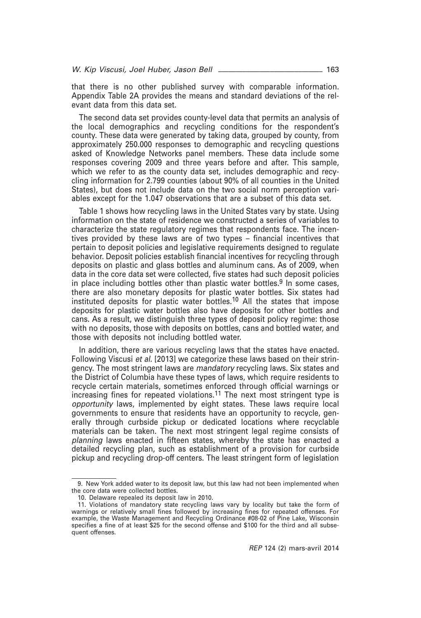that there is no other published survey with comparable information. Appendix Table 2A provides the means and standard deviations of the relevant data from this data set.

The second data set provides county-level data that permits an analysis of the local demographics and recycling conditions for the respondent's county. These data were generated by taking data, grouped by county, from approximately 250.000 responses to demographic and recycling questions asked of Knowledge Networks panel members. These data include some responses covering 2009 and three years before and after. This sample, which we refer to as the county data set, includes demographic and recycling information for 2.799 counties (about 90% of all counties in the United States), but does not include data on the two social norm perception variables except for the 1.047 observations that are a subset of this data set.

Table 1 shows how recycling laws in the United States vary by state. Using information on the state of residence we constructed a series of variables to characterize the state regulatory regimes that respondents face. The incentives provided by these laws are of two types – financial incentives that pertain to deposit policies and legislative requirements designed to regulate behavior. Deposit policies establish financial incentives for recycling through deposits on plastic and glass bottles and aluminum cans. As of 2009, when data in the core data set were collected, five states had such deposit policies in place including bottles other than plastic water bottles.<sup>9</sup> In some cases, there are also monetary deposits for plastic water bottles. Six states had instituted deposits for plastic water bottles.<sup>10</sup> All the states that impose deposits for plastic water bottles also have deposits for other bottles and cans. As a result, we distinguish three types of deposit policy regime: those with no deposits, those with deposits on bottles, cans and bottled water, and those with deposits not including bottled water.

In addition, there are various recycling laws that the states have enacted. Following Viscusi *et al.* [2013] we categorize these laws based on their stringency. The most stringent laws are *mandatory* recycling laws. Six states and the District of Columbia have these types of laws, which require residents to recycle certain materials, sometimes enforced through official warnings or increasing fines for repeated violations.<sup>11</sup> The next most stringent type is *opportunity* laws, implemented by eight states. These laws require local governments to ensure that residents have an opportunity to recycle, generally through curbside pickup or dedicated locations where recyclable materials can be taken. The next most stringent legal regime consists of *planning* laws enacted in fifteen states, whereby the state has enacted a detailed recycling plan, such as establishment of a provision for curbside pickup and recycling drop-off centers. The least stringent form of legislation

<sup>9.</sup> New York added water to its deposit law, but this law had not been implemented when the core data were collected bottles.

<sup>10.</sup> Delaware repealed its deposit law in 2010.

<sup>11.</sup> Violations of mandatory state recycling laws vary by locality but take the form of warnings or relatively small fines followed by increasing fines for repeated offenses. For example, the Waste Management and Recycling Ordinance #08-02 of Pine Lake, Wisconsin specifies a fine of at least \$25 for the second offense and \$100 for the third and all subsequent offenses.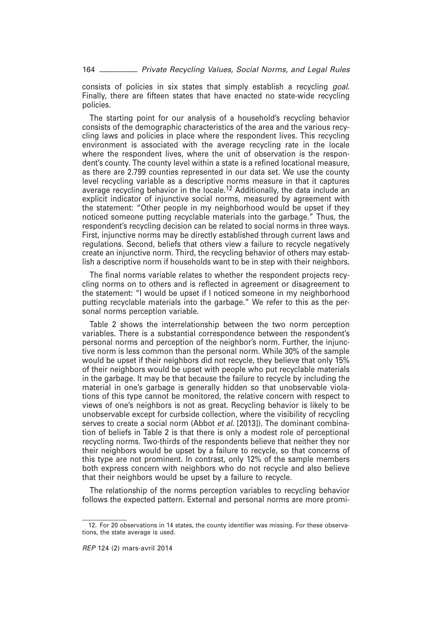consists of policies in six states that simply establish a recycling *goal*. Finally, there are fifteen states that have enacted no state-wide recycling policies.

The starting point for our analysis of a household's recycling behavior consists of the demographic characteristics of the area and the various recycling laws and policies in place where the respondent lives. This recycling environment is associated with the average recycling rate in the locale where the respondent lives, where the unit of observation is the respondent's county. The county level within a state is a refined locational measure, as there are 2.799 counties represented in our data set. We use the county level recycling variable as a descriptive norms measure in that it captures average recycling behavior in the locale.<sup>12</sup> Additionally, the data include an explicit indicator of injunctive social norms, measured by agreement with the statement: "Other people in my neighborhood would be upset if they noticed someone putting recyclable materials into the garbage." Thus, the respondent's recycling decision can be related to social norms in three ways. First, injunctive norms may be directly established through current laws and regulations. Second, beliefs that others view a failure to recycle negatively create an injunctive norm. Third, the recycling behavior of others may establish a descriptive norm if households want to be in step with their neighbors.

The final norms variable relates to whether the respondent projects recycling norms on to others and is reflected in agreement or disagreement to the statement: "I would be upset if I noticed someone in my neighborhood putting recyclable materials into the garbage." We refer to this as the personal norms perception variable.

Table 2 shows the interrelationship between the two norm perception variables. There is a substantial correspondence between the respondent's personal norms and perception of the neighbor's norm. Further, the injunctive norm is less common than the personal norm. While 30% of the sample would be upset if their neighbors did not recycle, they believe that only 15% of their neighbors would be upset with people who put recyclable materials in the garbage. It may be that because the failure to recycle by including the material in one's garbage is generally hidden so that unobservable violations of this type cannot be monitored, the relative concern with respect to views of one's neighbors is not as great. Recycling behavior is likely to be unobservable except for curbside collection, where the visibility of recycling serves to create a social norm (Abbot *et al.* [2013]). The dominant combination of beliefs in Table 2 is that there is only a modest role of perceptional recycling norms. Two-thirds of the respondents believe that neither they nor their neighbors would be upset by a failure to recycle, so that concerns of this type are not prominent. In contrast, only 12% of the sample members both express concern with neighbors who do not recycle and also believe that their neighbors would be upset by a failure to recycle.

The relationship of the norms perception variables to recycling behavior follows the expected pattern. External and personal norms are more promi-

<sup>12.</sup> For 20 observations in 14 states, the county identifier was missing. For these observations, the state average is used.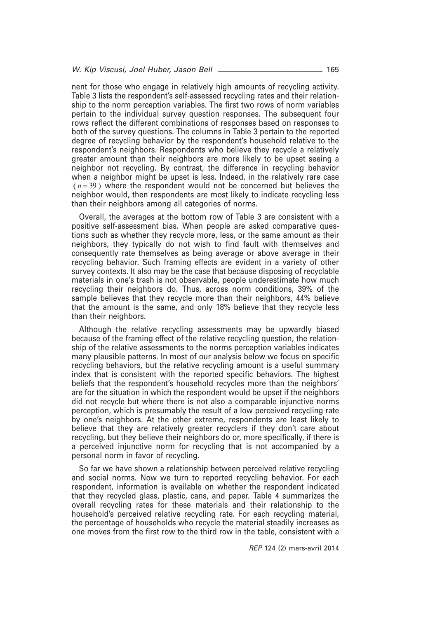nent for those who engage in relatively high amounts of recycling activity. Table 3 lists the respondent's self-assessed recycling rates and their relationship to the norm perception variables. The first two rows of norm variables pertain to the individual survey question responses. The subsequent four rows reflect the different combinations of responses based on responses to both of the survey questions. The columns in Table 3 pertain to the reported degree of recycling behavior by the respondent's household relative to the respondent's neighbors. Respondents who believe they recycle a relatively greater amount than their neighbors are more likely to be upset seeing a neighbor not recycling. By contrast, the difference in recycling behavior when a neighbor might be upset is less. Indeed, in the relatively rare case  $(n=39)$  where the respondent would not be concerned but believes the neighbor would, then respondents are most likely to indicate recycling less than their neighbors among all categories of norms.

Overall, the averages at the bottom row of Table 3 are consistent with a positive self-assessment bias. When people are asked comparative questions such as whether they recycle more, less, or the same amount as their neighbors, they typically do not wish to find fault with themselves and consequently rate themselves as being average or above average in their recycling behavior. Such framing effects are evident in a variety of other survey contexts. It also may be the case that because disposing of recyclable materials in one's trash is not observable, people underestimate how much recycling their neighbors do. Thus, across norm conditions, 39% of the sample believes that they recycle more than their neighbors, 44% believe that the amount is the same, and only 18% believe that they recycle less than their neighbors.

Although the relative recycling assessments may be upwardly biased because of the framing effect of the relative recycling question, the relationship of the relative assessments to the norms perception variables indicates many plausible patterns. In most of our analysis below we focus on specific recycling behaviors, but the relative recycling amount is a useful summary index that is consistent with the reported specific behaviors. The highest beliefs that the respondent's household recycles more than the neighbors' are for the situation in which the respondent would be upset if the neighbors did not recycle but where there is not also a comparable injunctive norms perception, which is presumably the result of a low perceived recycling rate by one's neighbors. At the other extreme, respondents are least likely to believe that they are relatively greater recyclers if they don't care about recycling, but they believe their neighbors do or, more specifically, if there is a perceived injunctive norm for recycling that is not accompanied by a personal norm in favor of recycling.

So far we have shown a relationship between perceived relative recycling and social norms. Now we turn to reported recycling behavior. For each respondent, information is available on whether the respondent indicated that they recycled glass, plastic, cans, and paper. Table 4 summarizes the overall recycling rates for these materials and their relationship to the household's perceived relative recycling rate. For each recycling material, the percentage of households who recycle the material steadily increases as one moves from the first row to the third row in the table, consistent with a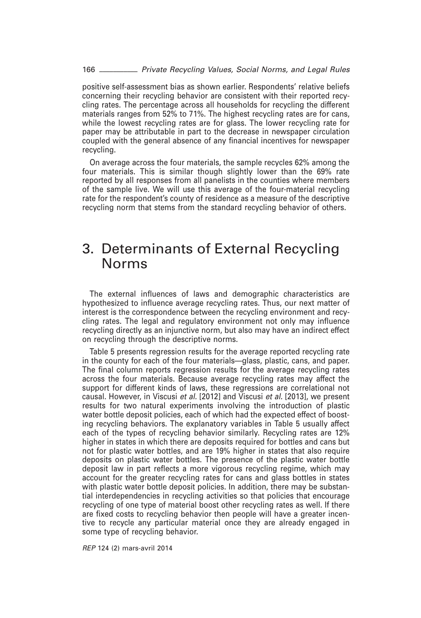positive self-assessment bias as shown earlier. Respondents' relative beliefs concerning their recycling behavior are consistent with their reported recycling rates. The percentage across all households for recycling the different materials ranges from 52% to 71%. The highest recycling rates are for cans, while the lowest recycling rates are for glass. The lower recycling rate for paper may be attributable in part to the decrease in newspaper circulation coupled with the general absence of any financial incentives for newspaper recycling.

On average across the four materials, the sample recycles 62% among the four materials. This is similar though slightly lower than the 69% rate reported by all responses from all panelists in the counties where members of the sample live. We will use this average of the four-material recycling rate for the respondent's county of residence as a measure of the descriptive recycling norm that stems from the standard recycling behavior of others.

### 3. Determinants of External Recycling Norms

The external influences of laws and demographic characteristics are hypothesized to influence average recycling rates. Thus, our next matter of interest is the correspondence between the recycling environment and recycling rates. The legal and regulatory environment not only may influence recycling directly as an injunctive norm, but also may have an indirect effect on recycling through the descriptive norms.

Table 5 presents regression results for the average reported recycling rate in the county for each of the four materials—glass, plastic, cans, and paper. The final column reports regression results for the average recycling rates across the four materials. Because average recycling rates may affect the support for different kinds of laws, these regressions are correlational not causal. However, in Viscusi *et al.* [2012] and Viscusi *et al.* [2013], we present results for two natural experiments involving the introduction of plastic water bottle deposit policies, each of which had the expected effect of boosting recycling behaviors. The explanatory variables in Table 5 usually affect each of the types of recycling behavior similarly. Recycling rates are 12% higher in states in which there are deposits required for bottles and cans but not for plastic water bottles, and are 19% higher in states that also require deposits on plastic water bottles. The presence of the plastic water bottle deposit law in part reflects a more vigorous recycling regime, which may account for the greater recycling rates for cans and glass bottles in states with plastic water bottle deposit policies. In addition, there may be substantial interdependencies in recycling activities so that policies that encourage recycling of one type of material boost other recycling rates as well. If there are fixed costs to recycling behavior then people will have a greater incentive to recycle any particular material once they are already engaged in some type of recycling behavior.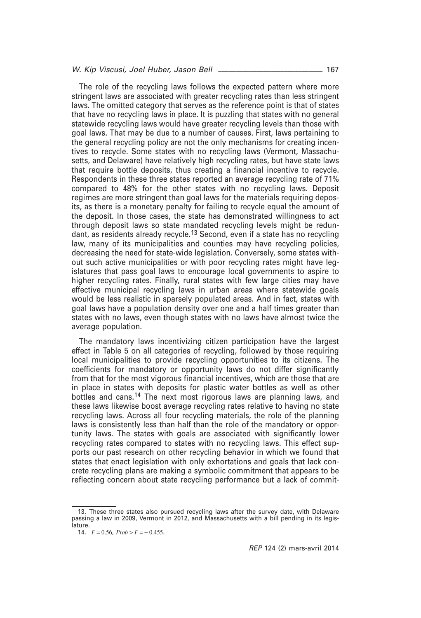The role of the recycling laws follows the expected pattern where more stringent laws are associated with greater recycling rates than less stringent laws. The omitted category that serves as the reference point is that of states that have no recycling laws in place. It is puzzling that states with no general statewide recycling laws would have greater recycling levels than those with goal laws. That may be due to a number of causes. First, laws pertaining to the general recycling policy are not the only mechanisms for creating incentives to recycle. Some states with no recycling laws (Vermont, Massachusetts, and Delaware) have relatively high recycling rates, but have state laws that require bottle deposits, thus creating a financial incentive to recycle. Respondents in these three states reported an average recycling rate of 71% compared to 48% for the other states with no recycling laws. Deposit regimes are more stringent than goal laws for the materials requiring deposits, as there is a monetary penalty for failing to recycle equal the amount of the deposit. In those cases, the state has demonstrated willingness to act through deposit laws so state mandated recycling levels might be redundant, as residents already recycle.<sup>13</sup> Second, even if a state has no recycling law, many of its municipalities and counties may have recycling policies, decreasing the need for state-wide legislation. Conversely, some states without such active municipalities or with poor recycling rates might have legislatures that pass goal laws to encourage local governments to aspire to higher recycling rates. Finally, rural states with few large cities may have effective municipal recycling laws in urban areas where statewide goals would be less realistic in sparsely populated areas. And in fact, states with goal laws have a population density over one and a half times greater than states with no laws, even though states with no laws have almost twice the average population.

The mandatory laws incentivizing citizen participation have the largest effect in Table 5 on all categories of recycling, followed by those requiring local municipalities to provide recycling opportunities to its citizens. The coefficients for mandatory or opportunity laws do not differ significantly from that for the most vigorous financial incentives, which are those that are in place in states with deposits for plastic water bottles as well as other bottles and cans.<sup>14</sup> The next most rigorous laws are planning laws, and these laws likewise boost average recycling rates relative to having no state recycling laws. Across all four recycling materials, the role of the planning laws is consistently less than half than the role of the mandatory or opportunity laws. The states with goals are associated with significantly lower recycling rates compared to states with no recycling laws. This effect supports our past research on other recycling behavior in which we found that states that enact legislation with only exhortations and goals that lack concrete recycling plans are making a symbolic commitment that appears to be reflecting concern about state recycling performance but a lack of commit-

<sup>13.</sup> These three states also pursued recycling laws after the survey date, with Delaware passing a law in 2009, Vermont in 2012, and Massachusetts with a bill pending in its legislature. 14. *F* = 0.56, *Prob* > *F* = − 0.455.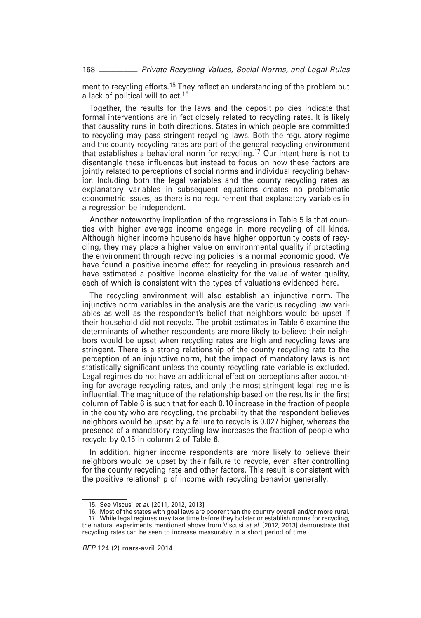ment to recycling efforts.<sup>15</sup> They reflect an understanding of the problem but a lack of political will to act.<sup>16</sup>

Together, the results for the laws and the deposit policies indicate that formal interventions are in fact closely related to recycling rates. It is likely that causality runs in both directions. States in which people are committed to recycling may pass stringent recycling laws. Both the regulatory regime and the county recycling rates are part of the general recycling environment that establishes a behavioral norm for recycling.<sup>17</sup> Our intent here is not to disentangle these influences but instead to focus on how these factors are jointly related to perceptions of social norms and individual recycling behavior. Including both the legal variables and the county recycling rates as explanatory variables in subsequent equations creates no problematic econometric issues, as there is no requirement that explanatory variables in a regression be independent.

Another noteworthy implication of the regressions in Table 5 is that counties with higher average income engage in more recycling of all kinds. Although higher income households have higher opportunity costs of recycling, they may place a higher value on environmental quality if protecting the environment through recycling policies is a normal economic good. We have found a positive income effect for recycling in previous research and have estimated a positive income elasticity for the value of water quality, each of which is consistent with the types of valuations evidenced here.

The recycling environment will also establish an injunctive norm. The injunctive norm variables in the analysis are the various recycling law variables as well as the respondent's belief that neighbors would be upset if their household did not recycle. The probit estimates in Table 6 examine the determinants of whether respondents are more likely to believe their neighbors would be upset when recycling rates are high and recycling laws are stringent. There is a strong relationship of the county recycling rate to the perception of an injunctive norm, but the impact of mandatory laws is not statistically significant unless the county recycling rate variable is excluded. Legal regimes do not have an additional effect on perceptions after accounting for average recycling rates, and only the most stringent legal regime is influential. The magnitude of the relationship based on the results in the first column of Table 6 is such that for each 0.10 increase in the fraction of people in the county who are recycling, the probability that the respondent believes neighbors would be upset by a failure to recycle is 0.027 higher, whereas the presence of a mandatory recycling law increases the fraction of people who recycle by 0.15 in column 2 of Table 6.

In addition, higher income respondents are more likely to believe their neighbors would be upset by their failure to recycle, even after controlling for the county recycling rate and other factors. This result is consistent with the positive relationship of income with recycling behavior generally.

<sup>15.</sup> See Viscusi *et al.* [2011, 2012, 2013].

<sup>16.</sup> Most of the states with goal laws are poorer than the country overall and/or more rural.

<sup>17.</sup> While legal regimes may take time before they bolster or establish norms for recycling, the natural experiments mentioned above from Viscusi *et al.* [2012, 2013] demonstrate that recycling rates can be seen to increase measurably in a short period of time.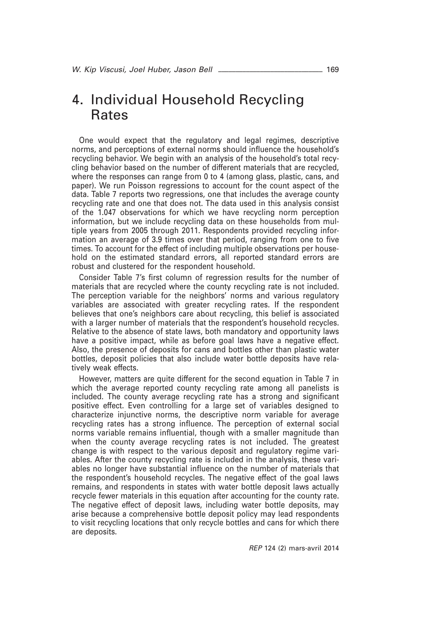## 4. Individual Household Recycling Rates

One would expect that the regulatory and legal regimes, descriptive norms, and perceptions of external norms should influence the household's recycling behavior. We begin with an analysis of the household's total recycling behavior based on the number of different materials that are recycled, where the responses can range from 0 to 4 (among glass, plastic, cans, and paper). We run Poisson regressions to account for the count aspect of the data. Table 7 reports two regressions, one that includes the average county recycling rate and one that does not. The data used in this analysis consist of the 1.047 observations for which we have recycling norm perception information, but we include recycling data on these households from multiple years from 2005 through 2011. Respondents provided recycling information an average of 3.9 times over that period, ranging from one to five times. To account for the effect of including multiple observations per household on the estimated standard errors, all reported standard errors are robust and clustered for the respondent household.

Consider Table 7's first column of regression results for the number of materials that are recycled where the county recycling rate is not included. The perception variable for the neighbors' norms and various regulatory variables are associated with greater recycling rates. If the respondent believes that one's neighbors care about recycling, this belief is associated with a larger number of materials that the respondent's household recycles. Relative to the absence of state laws, both mandatory and opportunity laws have a positive impact, while as before goal laws have a negative effect. Also, the presence of deposits for cans and bottles other than plastic water bottles, deposit policies that also include water bottle deposits have relatively weak effects.

However, matters are quite different for the second equation in Table 7 in which the average reported county recycling rate among all panelists is included. The county average recycling rate has a strong and significant positive effect. Even controlling for a large set of variables designed to characterize injunctive norms, the descriptive norm variable for average recycling rates has a strong influence. The perception of external social norms variable remains influential, though with a smaller magnitude than when the county average recycling rates is not included. The greatest change is with respect to the various deposit and regulatory regime variables. After the county recycling rate is included in the analysis, these variables no longer have substantial influence on the number of materials that the respondent's household recycles. The negative effect of the goal laws remains, and respondents in states with water bottle deposit laws actually recycle fewer materials in this equation after accounting for the county rate. The negative effect of deposit laws, including water bottle deposits, may arise because a comprehensive bottle deposit policy may lead respondents to visit recycling locations that only recycle bottles and cans for which there are deposits.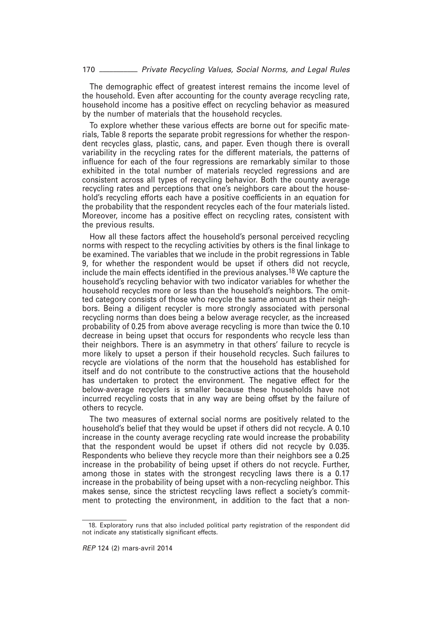The demographic effect of greatest interest remains the income level of the household. Even after accounting for the county average recycling rate, household income has a positive effect on recycling behavior as measured by the number of materials that the household recycles.

To explore whether these various effects are borne out for specific materials, Table 8 reports the separate probit regressions for whether the respondent recycles glass, plastic, cans, and paper. Even though there is overall variability in the recycling rates for the different materials, the patterns of influence for each of the four regressions are remarkably similar to those exhibited in the total number of materials recycled regressions and are consistent across all types of recycling behavior. Both the county average recycling rates and perceptions that one's neighbors care about the household's recycling efforts each have a positive coefficients in an equation for the probability that the respondent recycles each of the four materials listed. Moreover, income has a positive effect on recycling rates, consistent with the previous results.

How all these factors affect the household's personal perceived recycling norms with respect to the recycling activities by others is the final linkage to be examined. The variables that we include in the probit regressions in Table 9, for whether the respondent would be upset if others did not recycle, include the main effects identified in the previous analyses.<sup>18</sup> We capture the household's recycling behavior with two indicator variables for whether the household recycles more or less than the household's neighbors. The omitted category consists of those who recycle the same amount as their neighbors. Being a diligent recycler is more strongly associated with personal recycling norms than does being a below average recycler, as the increased probability of 0.25 from above average recycling is more than twice the 0.10 decrease in being upset that occurs for respondents who recycle less than their neighbors. There is an asymmetry in that others' failure to recycle is more likely to upset a person if their household recycles. Such failures to recycle are violations of the norm that the household has established for itself and do not contribute to the constructive actions that the household has undertaken to protect the environment. The negative effect for the below-average recyclers is smaller because these households have not incurred recycling costs that in any way are being offset by the failure of others to recycle.

The two measures of external social norms are positively related to the household's belief that they would be upset if others did not recycle. A 0.10 increase in the county average recycling rate would increase the probability that the respondent would be upset if others did not recycle by 0.035. Respondents who believe they recycle more than their neighbors see a 0.25 increase in the probability of being upset if others do not recycle. Further, among those in states with the strongest recycling laws there is a 0.17 increase in the probability of being upset with a non-recycling neighbor. This makes sense, since the strictest recycling laws reflect a society's commitment to protecting the environment, in addition to the fact that a non-

<sup>18.</sup> Exploratory runs that also included political party registration of the respondent did not indicate any statistically significant effects.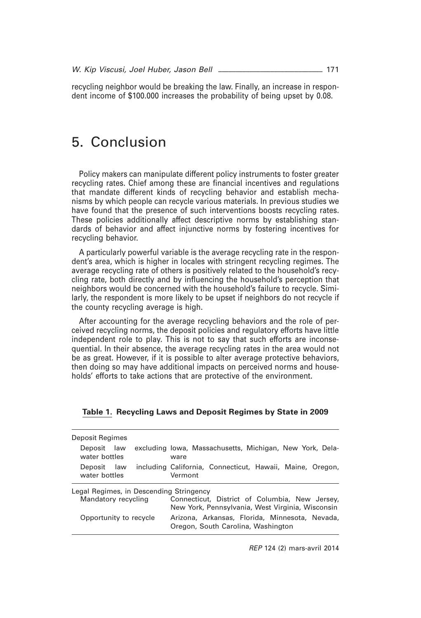recycling neighbor would be breaking the law. Finally, an increase in respondent income of \$100.000 increases the probability of being upset by 0.08.

## 5. Conclusion

Policy makers can manipulate different policy instruments to foster greater recycling rates. Chief among these are financial incentives and regulations that mandate different kinds of recycling behavior and establish mechanisms by which people can recycle various materials. In previous studies we have found that the presence of such interventions boosts recycling rates. These policies additionally affect descriptive norms by establishing standards of behavior and affect injunctive norms by fostering incentives for recycling behavior.

A particularly powerful variable is the average recycling rate in the respondent's area, which is higher in locales with stringent recycling regimes. The average recycling rate of others is positively related to the household's recycling rate, both directly and by influencing the household's perception that neighbors would be concerned with the household's failure to recycle. Similarly, the respondent is more likely to be upset if neighbors do not recycle if the county recycling average is high.

After accounting for the average recycling behaviors and the role of perceived recycling norms, the deposit policies and regulatory efforts have little independent role to play. This is not to say that such efforts are inconsequential. In their absence, the average recycling rates in the area would not be as great. However, if it is possible to alter average protective behaviors, then doing so may have additional impacts on perceived norms and households' efforts to take actions that are protective of the environment.

| Deposit Regimes                                                |                                                                                                    |  |
|----------------------------------------------------------------|----------------------------------------------------------------------------------------------------|--|
| Deposit law<br>water bottles                                   | excluding lowa, Massachusetts, Michigan, New York, Dela-<br>ware                                   |  |
| Deposit law<br>water bottles                                   | including California, Connecticut, Hawaii, Maine, Oregon,<br>Vermont                               |  |
| Legal Regimes, in Descending Stringency<br>Mandatory recycling | Connecticut, District of Columbia, New Jersey,<br>New York, Pennsylvania, West Virginia, Wisconsin |  |
| Opportunity to recycle                                         | Arizona, Arkansas, Florida, Minnesota, Nevada,<br>Oregon, South Carolina, Washington               |  |

| Table 1. Recycling Laws and Deposit Regimes by State in 2009 |  |  |  |  |
|--------------------------------------------------------------|--|--|--|--|
|                                                              |  |  |  |  |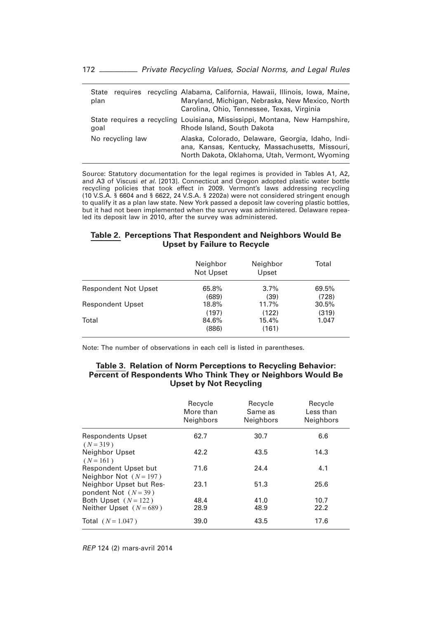| State<br>plan    | requires recycling Alabama, California, Hawaii, Illinois, Iowa, Maine,<br>Maryland, Michigan, Nebraska, New Mexico, North<br>Carolina, Ohio, Tennessee, Texas, Virginia |
|------------------|-------------------------------------------------------------------------------------------------------------------------------------------------------------------------|
| goal             | State requires a recycling Louisiana, Mississippi, Montana, New Hampshire,<br>Rhode Island, South Dakota                                                                |
| No recycling law | Alaska, Colorado, Delaware, Georgia, Idaho, Indi-<br>ana, Kansas, Kentucky, Massachusetts, Missouri,<br>North Dakota, Oklahoma, Utah, Vermont, Wyoming                  |

Source: Statutory documentation for the legal regimes is provided in Tables A1, A2, and A3 of Viscusi *et al.* [2013]. Connecticut and Oregon adopted plastic water bottle recycling policies that took effect in 2009. Vermont's laws addressing recycling (10 V.S.A. § 6604 and § 6622, 24 V.S.A. § 2202a) were not considered stringent enough to qualify it as a plan law state. New York passed a deposit law covering plastic bottles, but it had not been implemented when the survey was administered. Delaware repealed its deposit law in 2010, after the survey was administered.

#### **Table 2. Perceptions That Respondent and Neighbors Would Be Upset by Failure to Recycle**

|                             | Neighbor<br>Not Upset | Neighbor<br>Upset | Total |
|-----------------------------|-----------------------|-------------------|-------|
| <b>Respondent Not Upset</b> | 65.8%                 | 3.7%              | 69.5% |
|                             | (689)                 | (39)              | (728) |
| <b>Respondent Upset</b>     | 18.8%                 | 11.7%             | 30.5% |
|                             | (197)                 | (122)             | (319) |
| Total                       | 84.6%                 | 15.4%             | 1.047 |
|                             | (886)                 | (161)             |       |

Note: The number of observations in each cell is listed in parentheses.

#### **Table 3. Relation of Norm Perceptions to Recycling Behavior: Percent of Respondents Who Think They or Neighbors Would Be Upset by Not Recycling**

|                                                  | Recycle<br>More than<br><b>Neighbors</b> | Recycle<br>Same as<br>Neighbors | Recycle<br>Less than<br><b>Neighbors</b> |
|--------------------------------------------------|------------------------------------------|---------------------------------|------------------------------------------|
| <b>Respondents Upset</b><br>$(N=319)$            | 62.7                                     | 30.7                            | 6.6                                      |
| Neighbor Upset<br>$(N=161)$                      | 42.2                                     | 43.5                            | 14.3                                     |
| Respondent Upset but<br>Neighbor Not $(N = 197)$ | 71.6                                     | 24.4                            | 4.1                                      |
| Neighbor Upset but Res-<br>pondent Not $(N=39)$  | 23.1                                     | 51.3                            | 25.6                                     |
| Both Upset $(N = 122)$                           | 48.4                                     | 41.0                            | 10.7                                     |
| Neither Upset $(N = 689)$                        | 28.9                                     | 48.9                            | 22.2                                     |
| Total $(N = 1.047)$                              | 39.0                                     | 43.5                            | 17.6                                     |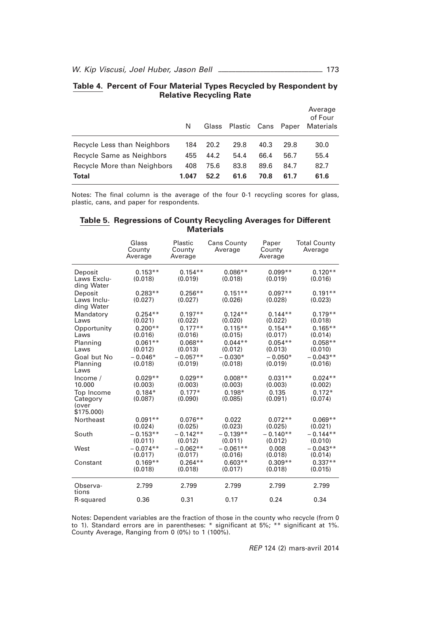#### **Table 4. Percent of Four Material Types Recycled by Respondent by Relative Recycling Rate**

|                             | N     |      | Glass Plastic Cans Paper |      |      | Average<br>of Four<br><b>Materials</b> |
|-----------------------------|-------|------|--------------------------|------|------|----------------------------------------|
| Recycle Less than Neighbors | 184   | 20.2 | 29.8                     | 40.3 | 29.8 | 30.0                                   |
| Recycle Same as Neighbors   | 455   | 44.2 | 54.4                     | 66.4 | 56.7 | 55.4                                   |
| Recycle More than Neighbors | 408   | 75.6 | 83.8                     | 89.6 | 84.7 | 82.7                                   |
| <b>Total</b>                | 1.047 | 52.2 | 61.6                     | 70.8 | 61.7 | 61.6                                   |

Notes: The final column is the average of the four 0-1 recycling scores for glass, plastic, cans, and paper for respondents.

#### **Table 5. Regressions of County Recycling Averages for Different Materials**

|                                               | Glass<br>County<br>Average | Plastic<br>County<br>Average | <b>Cans County</b><br>Average | Paper<br>County<br>Average | <b>Total County</b><br>Average |
|-----------------------------------------------|----------------------------|------------------------------|-------------------------------|----------------------------|--------------------------------|
| Deposit<br>Laws Exclu-<br>ding Water          | $0.153**$<br>(0.018)       | $0.154**$<br>(0.019)         | $0.086**$<br>(0.018)          | $0.099**$<br>(0.019)       | $0.120**$<br>(0.016)           |
| Deposit<br>Laws Inclu-<br>ding Water          | $0.283**$<br>(0.027)       | $0.256**$<br>(0.027)         | $0.151**$<br>(0.026)          | $0.097**$<br>(0.028)       | $0.191**$<br>(0.023)           |
| Mandatory                                     | $0.254**$                  | $0.197**$                    | $0.124**$                     | $0.144**$                  | $0.179**$                      |
| Laws                                          | (0.021)                    | (0.022)                      | (0.020)                       | (0.022)                    | (0.018)                        |
| Opportunity                                   | $0.200**$                  | $0.177**$                    | $0.115***$                    | $0.154**$                  | $0.165**$                      |
| Laws                                          | (0.016)                    | (0.016)                      | (0.015)                       | (0.017)                    | (0.014)                        |
| Planning                                      | $0.061**$                  | $0.068**$                    | $0.044**$                     | $0.054**$                  | $0.058**$                      |
| Laws                                          | (0.012)                    | (0.013)                      | (0.012)                       | (0.013)                    | (0.010)                        |
| Goal but No<br>Planning<br>Laws               | $-0.046*$<br>(0.018)       | $-0.057**$<br>(0.019)        | $-0.030*$<br>(0.018)          | $-0.050*$<br>(0.019)       | $-0.043**$<br>(0.016)          |
| lncome/                                       | $0.029**$                  | $0.029**$                    | $0.008**$                     | $0.031**$                  | $0.024**$                      |
| 10.000                                        | (0.003)                    | (0.003)                      | (0.003)                       | (0.003)                    | (0.002)                        |
| Top Income<br>Category<br>(over<br>\$175.000) | $0.184*$<br>(0.087)        | $0.177*$<br>(0.090)          | $0.198*$<br>(0.085)           | 0.135<br>(0.091)           | $0.172*$<br>(0.074)            |
| Northeast                                     | $0.091**$                  | $0.076**$                    | 0.022                         | $0.072**$                  | $0.069**$                      |
|                                               | (0.024)                    | (0.025)                      | (0.023)                       | (0.025)                    | (0.021)                        |
| South                                         | $-0.153**$                 | $-0.142**$                   | $-0.139**$                    | $-0.140**$                 | $-0.144**$                     |
|                                               | (0.011)                    | (0.012)                      | (0.011)                       | (0.012)                    | (0.010)                        |
| West                                          | $-0.074**$                 | $-0.062**$                   | $-0.061**$                    | 0.008                      | $-0.043**$                     |
|                                               | (0.017)                    | (0.017)                      | (0.016)                       | (0.018)                    | (0.014)                        |
| Constant                                      | $0.169**$                  | $0.264**$                    | $0.603**$                     | $0.309**$                  | $0.337**$                      |
|                                               | (0.018)                    | (0.018)                      | (0.017)                       | (0.018)                    | (0.015)                        |
| Observa-<br>tions                             | 2.799                      | 2.799                        | 2.799                         | 2.799                      | 2.799                          |
| R-squared                                     | 0.36                       | 0.31                         | 0.17                          | 0.24                       | 0.34                           |

Notes: Dependent variables are the fraction of those in the county who recycle (from 0 to 1). Standard errors are in parentheses: \* significant at 5%; \*\* significant at 1%. County Average, Ranging from 0 (0%) to 1 (100%).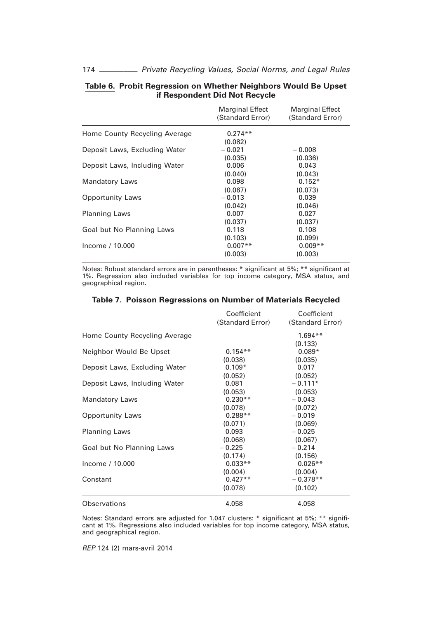| <b>Marginal Effect</b><br>(Standard Error) | <b>Marginal Effect</b><br>(Standard Error) |
|--------------------------------------------|--------------------------------------------|
| $0.274**$                                  |                                            |
| (0.082)                                    |                                            |
| $-0.021$                                   | $-0.008$                                   |
| (0.035)                                    | (0.036)                                    |
| 0.006                                      | 0.043                                      |
| (0.040)                                    | (0.043)                                    |
| 0.098                                      | $0.152*$                                   |
| (0.067)                                    | (0.073)                                    |
| $-0.013$                                   | 0.039                                      |
| (0.042)                                    | (0.046)                                    |
| 0.007                                      | 0.027                                      |
| (0.037)                                    | (0.037)                                    |
| 0.118                                      | 0.108                                      |
| (0.103)                                    | (0.099)                                    |
| $0.007**$                                  | $0.009**$                                  |
| (0.003)                                    | (0.003)                                    |
|                                            |                                            |

#### **Table 6. Probit Regression on Whether Neighbors Would Be Upset if Respondent Did Not Recycle**

Notes: Robust standard errors are in parentheses: \* significant at 5%; \*\* significant at 1%. Regression also included variables for top income category, MSA status, and geographical region.

|                               | Coefficient      | Coefficient      |
|-------------------------------|------------------|------------------|
|                               | (Standard Error) | (Standard Error) |
| Home County Recycling Average |                  | $1.694**$        |
|                               |                  | (0.133)          |
| Neighbor Would Be Upset       | $0.154**$        | $0.089*$         |
|                               | (0.038)          | (0.035)          |
| Deposit Laws, Excluding Water | $0.109*$         | 0.017            |
|                               | (0.052)          | (0.052)          |
| Deposit Laws, Including Water | 0.081            | $-0.111*$        |
|                               | (0.053)          | (0.053)          |
| <b>Mandatory Laws</b>         | $0.230**$        | $-0.043$         |
|                               | (0.078)          | (0.072)          |
| <b>Opportunity Laws</b>       | $0.288**$        | $-0.019$         |
|                               | (0.071)          | (0.069)          |
| <b>Planning Laws</b>          | 0.093            | $-0.025$         |
|                               | (0.068)          | (0.067)          |
| Goal but No Planning Laws     | $-0.225$         | $-0.214$         |
|                               | (0.174)          | (0.156)          |
| Income / 10.000               | $0.033**$        | $0.026**$        |
|                               | (0.004)          | (0.004)          |
| Constant                      | $0.427**$        | $-0.378**$       |
|                               | (0.078)          | (0.102)          |
| Observations                  | 4.058            | 4.058            |

### **Table 7. Poisson Regressions on Number of Materials Recycled**

Notes: Standard errors are adjusted for 1.047 clusters: \* significant at 5%; \*\* significant at 1%. Regressions also included variables for top income category, MSA status, and geographical region.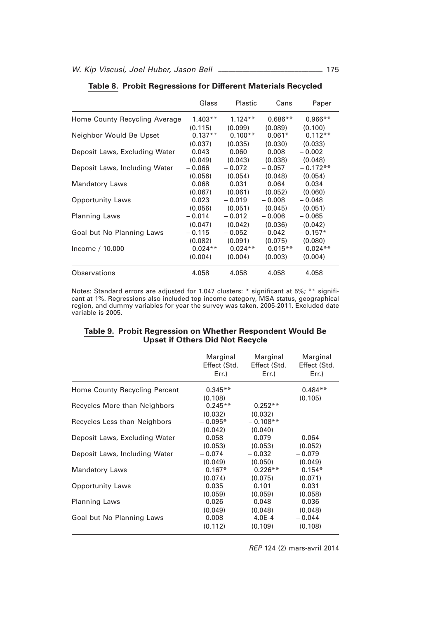|                               | Glass     | Plastic   | Cans      | Paper      |
|-------------------------------|-----------|-----------|-----------|------------|
| Home County Recycling Average | $1.403**$ | $1.124**$ | $0.686**$ | $0.966**$  |
|                               | (0.115)   | (0.099)   | (0.089)   | (0.100)    |
| Neighbor Would Be Upset       | $0.137**$ | $0.100**$ | $0.061*$  | $0.112**$  |
|                               | (0.037)   | (0.035)   | (0.030)   | (0.033)    |
| Deposit Laws, Excluding Water | 0.043     | 0.060     | 0.008     | $-0.002$   |
|                               | (0.049)   | (0.043)   | (0.038)   | (0.048)    |
| Deposit Laws, Including Water | $-0.066$  | $-0.072$  | $-0.057$  | $-0.172**$ |
|                               | (0.056)   | (0.054)   | (0.048)   | (0.054)    |
| <b>Mandatory Laws</b>         | 0.068     | 0.031     | 0.064     | 0.034      |
|                               | (0.067)   | (0.061)   | (0.052)   | (0.060)    |
| <b>Opportunity Laws</b>       | 0.023     | $-0.019$  | $-0.008$  | $-0.048$   |
|                               | (0.056)   | (0.051)   | (0.045)   | (0.051)    |
| <b>Planning Laws</b>          | $-0.014$  | $-0.012$  | $-0.006$  | $-0.065$   |
|                               | (0.047)   | (0.042)   | (0.036)   | (0.042)    |
| Goal but No Planning Laws     | $-0.115$  | $-0.052$  | $-0.042$  | $-0.157*$  |
|                               | (0.082)   | (0.091)   | (0.075)   | (0.080)    |
| Income / 10.000               | $0.024**$ | $0.024**$ | $0.015**$ | $0.024**$  |
|                               | (0.004)   | (0.004)   | (0.003)   | (0.004)    |
| Observations                  | 4.058     | 4.058     | 4.058     | 4.058      |

### **Table 8. Probit Regressions for Different Materials Recycled**

Notes: Standard errors are adjusted for 1.047 clusters: \* significant at 5%; \*\* significant at 1%. Regressions also included top income category, MSA status, geographical region, and dummy variables for year the survey was taken, 2005-2011. Excluded date variable is 2005.

#### **Table 9. Probit Regression on Whether Respondent Would Be Upset if Others Did Not Recycle**

|                               | Marginal<br>Effect (Std.<br>Err.) | Marginal<br>Effect (Std.<br>$Err.$ ) | Marginal<br>Effect (Std.<br>$Err.$ ) |
|-------------------------------|-----------------------------------|--------------------------------------|--------------------------------------|
| Home County Recycling Percent | $0.345**$                         |                                      | $0.484**$                            |
|                               | (0.108)                           |                                      | (0.105)                              |
| Recycles More than Neighbors  | $0.245**$                         | $0.252**$                            |                                      |
|                               | (0.032)                           | (0.032)                              |                                      |
| Recycles Less than Neighbors  | $-0.095*$                         | $-0.108**$                           |                                      |
|                               | (0.042)                           | (0.040)                              |                                      |
| Deposit Laws, Excluding Water | 0.058                             | 0.079                                | 0.064                                |
|                               | (0.053)                           | (0.053)                              | (0.052)                              |
| Deposit Laws, Including Water | $-0.074$                          | $-0.032$                             | $-0.079$                             |
|                               | (0.049)                           | (0.050)                              | (0.049)                              |
| <b>Mandatory Laws</b>         | $0.167*$                          | $0.226**$                            | $0.154*$                             |
|                               | (0.074)                           | (0.075)                              | (0.071)                              |
| <b>Opportunity Laws</b>       | 0.035                             | 0.101                                | 0.031                                |
|                               | (0.059)                           | (0.059)                              | (0.058)                              |
| <b>Planning Laws</b>          | 0.026                             | 0.048                                | 0.036                                |
|                               | (0.049)                           | (0.048)                              | (0.048)                              |
| Goal but No Planning Laws     | 0.008                             | 4.0E-4                               | $-0.044$                             |
|                               | (0.112)                           | (0.109)                              | (0.108)                              |
|                               |                                   |                                      |                                      |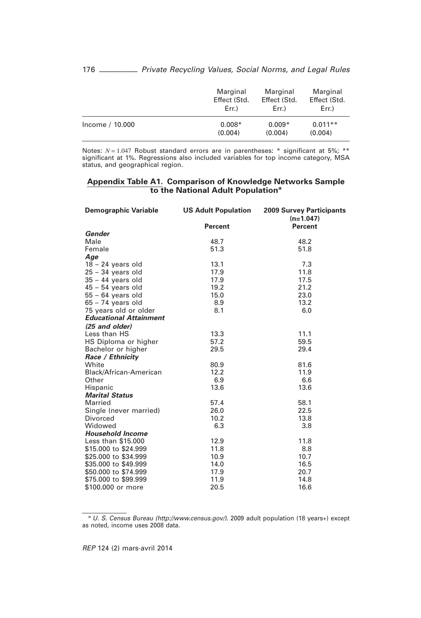|                   | Marginal     | Marginal     | Marginal     |
|-------------------|--------------|--------------|--------------|
|                   | Effect (Std. | Effect (Std. | Effect (Std. |
|                   | Err.         | Err.         | Err.         |
| Income $/ 10.000$ | $0.008*$     | $0.009*$     | $0.011**$    |
|                   | (0.004)      | (0.004)      | (0.004)      |

Notes:  $N = 1.047$  Robust standard errors are in parentheses: \* significant at 5%; \*\* significant at 1%. Regressions also included variables for top income category, MSA status, and geographical region.

#### **Appendix Table A1. Comparison of Knowledge Networks Sample to the National Adult Populationa**

| <b>Demographic Variable</b>   | <b>US Adult Population</b> | <b>2009 Survey Participants</b><br>$(n=1.047)$ |
|-------------------------------|----------------------------|------------------------------------------------|
|                               | <b>Percent</b>             | <b>Percent</b>                                 |
| Gender                        |                            |                                                |
| Male                          | 48.7                       | 48.2                                           |
| Female                        | 51.3                       | 51.8                                           |
| Age                           |                            |                                                |
| $18 - 24$ years old           | 13.1                       | 7.3                                            |
| $25 - 34$ years old           | 17.9                       | 11.8                                           |
| $35 - 44$ years old           | 17.9                       | 17.5                                           |
| $45 - 54$ years old           | 19.2                       | 21.2                                           |
| $55 - 64$ years old           | 15.0                       | 23.0                                           |
| $65 - 74$ years old           | 8.9                        | 13.2                                           |
| 75 years old or older         | 8.1                        | 6.0                                            |
| <b>Educational Attainment</b> |                            |                                                |
| (25 and older)                |                            |                                                |
| Less than HS                  | 13.3                       | 11.1                                           |
| HS Diploma or higher          | 57.2                       | 59.5                                           |
| Bachelor or higher            | 29.5                       | 29.4                                           |
| Race / Ethnicity              |                            |                                                |
| White                         | 80.9                       | 81.6                                           |
| Black/African-American        | 12.2                       | 11.9                                           |
| Other                         | 6.9                        | 6.6                                            |
| Hispanic                      | 13.6                       | 13.6                                           |
| <b>Marital Status</b>         |                            |                                                |
| Married                       | 57.4                       | 58.1                                           |
| Single (never married)        | 26.0                       | 22.5                                           |
| <b>Divorced</b>               | 10.2                       | 13.8                                           |
| Widowed                       | 6.3                        | 3.8                                            |
| <b>Household Income</b>       |                            |                                                |
| Less than \$15.000            | 12.9                       | 11.8                                           |
| \$15,000 to \$24.999          | 11.8                       | 8.8                                            |
| \$25,000 to \$34.999          | 10.9                       | 10.7                                           |
| \$35,000 to \$49.999          | 14.0                       | 16.5                                           |
| \$50,000 to \$74.999          | 17.9                       | 20.7                                           |
| \$75.000 to \$99.999          | 11.9                       | 14.8                                           |
| \$100.000 or more             | 20.5                       | 16.6                                           |

<sup>a</sup> *U. S. Census Bureau (http://www.census.gov/)*. 2009 adult population (18 years+) except as noted, income uses 2008 data.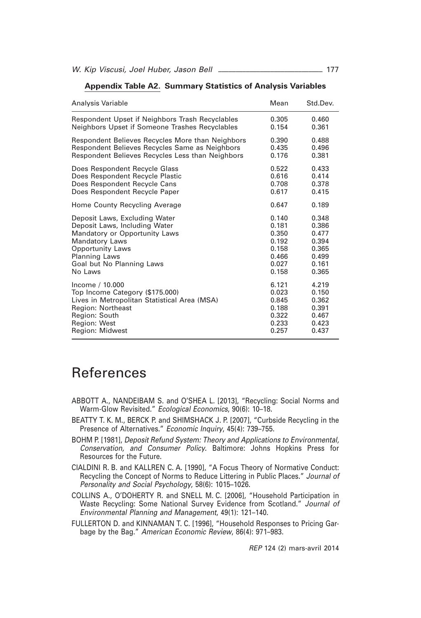| Analysis Variable                                | Mean  | Std.Dev. |
|--------------------------------------------------|-------|----------|
| Respondent Upset if Neighbors Trash Recyclables  | 0.305 | 0.460    |
| Neighbors Upset if Someone Trashes Recyclables   | 0.154 | 0.361    |
| Respondent Believes Recycles More than Neighbors | 0.390 | 0.488    |
| Respondent Believes Recycles Same as Neighbors   | 0.435 | 0.496    |
| Respondent Believes Recycles Less than Neighbors | 0.176 | 0.381    |
| Does Respondent Recycle Glass                    | 0.522 | 0.433    |
| Does Respondent Recycle Plastic                  | 0.616 | 0.414    |
| Does Respondent Recycle Cans                     | 0.708 | 0.378    |
| Does Respondent Recycle Paper                    | 0.617 | 0.415    |
| Home County Recycling Average                    | 0.647 | 0.189    |
| Deposit Laws, Excluding Water                    | 0.140 | 0.348    |
| Deposit Laws, Including Water                    | 0.181 | 0.386    |
| Mandatory or Opportunity Laws                    | 0.350 | 0.477    |
| <b>Mandatory Laws</b>                            | 0.192 | 0.394    |
| <b>Opportunity Laws</b>                          | 0.158 | 0.365    |
| <b>Planning Laws</b>                             | 0.466 | 0.499    |
| Goal but No Planning Laws                        | 0.027 | 0.161    |
| No Laws                                          | 0.158 | 0.365    |
| Income / 10,000                                  | 6.121 | 4.219    |
| Top Income Category (\$175.000)                  | 0.023 | 0.150    |
| Lives in Metropolitan Statistical Area (MSA)     | 0.845 | 0.362    |
| Region: Northeast                                | 0.188 | 0.391    |
| Region: South                                    | 0.322 | 0.467    |
| Region: West                                     | 0.233 | 0.423    |
| <b>Region: Midwest</b>                           | 0.257 | 0.437    |

#### **Appendix Table A2. Summary Statistics of Analysis Variables**

# References

- ABBOTT A., NANDEIBAM S. and O'SHEA L. [2013], "Recycling: Social Norms and Warm-Glow Revisited." *Ecological Economics*, 90(6): 10–18.
- BEATTY T. K. M., BERCK P. and SHIMSHACK J. P. [2007], "Curbside Recycling in the Presence of Alternatives." *Economic Inquiry*, 45(4): 739–755.
- BOHM P. [1981], *Deposit Refund System: Theory and Applications to Environmental, Conservation, and Consumer Policy*. Baltimore: Johns Hopkins Press for Resources for the Future.
- CIALDINI R. B. and KALLREN C. A. [1990], "A Focus Theory of Normative Conduct: Recycling the Concept of Norms to Reduce Littering in Public Places." *Journal of Personality and Social Psychology*, 58(6): 1015–1026.
- COLLINS A., O'DOHERTY R. and SNELL M. C. [2006], "Household Participation in Waste Recycling: Some National Survey Evidence from Scotland." *Journal of Environmental Planning and Management*, 49(1): 121–140.
- FULLERTON D. and KINNAMAN T. C. [1996], "Household Responses to Pricing Garbage by the Bag." *American Economic Review*, 86(4): 971–983.